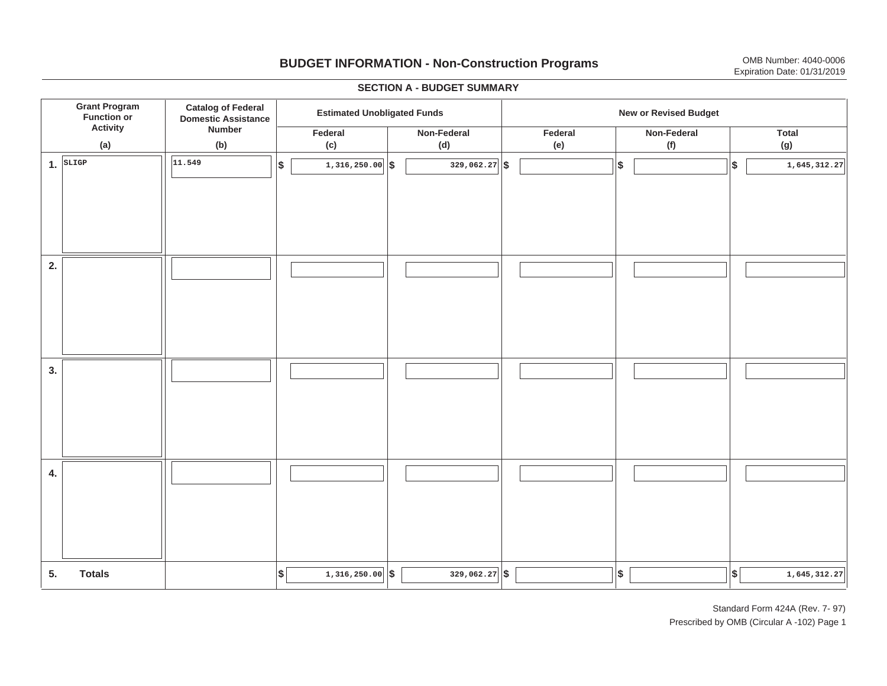## **BUDGET INFORMATION - Non-Construction Programs** OMB Number: 4040-0006 **Expiration Date: 01/31/2019**

**\$ Grant Program Function or Activity (a) Catalog of Federal Domestic Assistance Number (b) Estimated Unobligated Funds New or Revised Budget Federal (c) Non-Federal(d) Federal(e) Non-Federal (f) Total(g) 5. Totals4. 3. 2. 1.SLIGP**. |SLIGP || |<sup>11.549</sup> ||\$ | 1,316,250.00||\$ | 329,062.27||\$ | ||\$ | ||\$ |  $\frac{1}{329,062.27}$  \$ **11.5491,516,250.00 1,316,250.00 1,545,312.27 1,645,312.27 1,645,312.27 1,545,312.27**  $\frac{1}{3}$  1,316,250.00 **\$** 329,062.27 **\$** 329,000 **\$**  $\frac{1}{3}$ I I I I I I I I I I I I I I I I I I I I I I I I I I I I I I I I I I I I I I I I I I I I

#### **SECTION A - BUDGET SUMMARY**

Standard Form 424A (Rev. 7- 97) Prescribed by OMB (Circular A -102) Page 1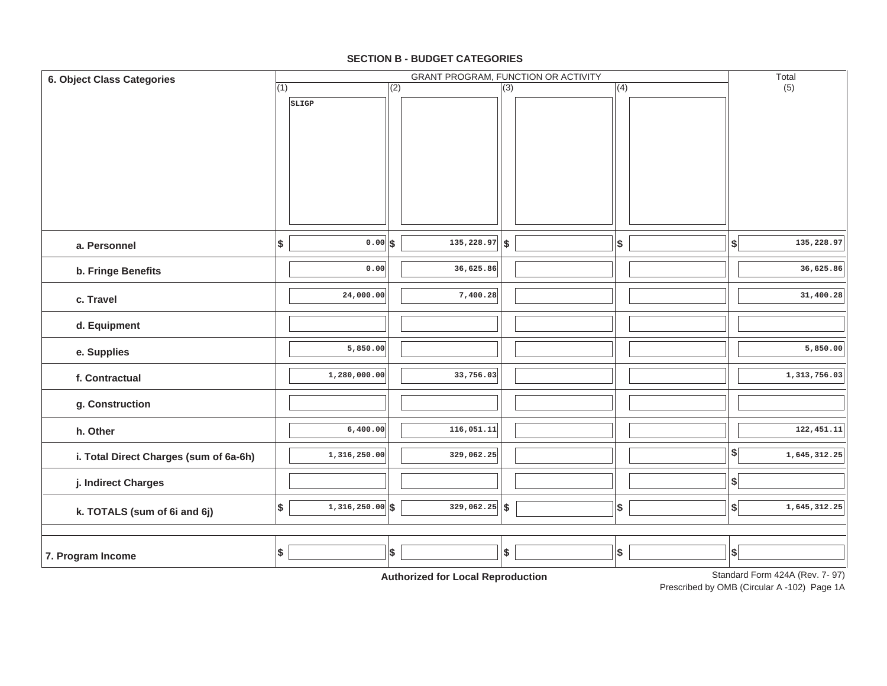#### **SECTION B - BUDGET CATEGORIES**

| 6. Object Class Categories             |     | GRANT PROGRAM, FUNCTION OR ACTIVITY |                  |                                          |                  |  |                   |  | Total                     |                                |
|----------------------------------------|-----|-------------------------------------|------------------|------------------------------------------|------------------|--|-------------------|--|---------------------------|--------------------------------|
|                                        | (1) |                                     | $\overline{(2)}$ |                                          | $\overline{(3)}$ |  | (4)               |  |                           | (5)                            |
|                                        |     | SLIGP                               |                  |                                          |                  |  |                   |  |                           |                                |
| a. Personnel                           | \$  | $0.00$ $s$                          |                  | $\overline{135,228.97}$ \$               |                  |  | \$                |  | $\boldsymbol{\$}$         | 135,228.97                     |
| b. Fringe Benefits                     |     | 0.00                                |                  | 36,625.86                                |                  |  |                   |  |                           | 36,625.86                      |
| c. Travel                              |     | 24,000.00                           |                  | 7,400.28                                 |                  |  |                   |  |                           | 31,400.28                      |
| d. Equipment                           |     |                                     |                  |                                          |                  |  |                   |  |                           |                                |
| e. Supplies                            |     | 5,850.00                            |                  |                                          |                  |  |                   |  |                           | 5,850.00                       |
| f. Contractual                         |     | 1,280,000.00                        |                  | 33,756.03                                |                  |  |                   |  |                           | 1,313,756.03                   |
| g. Construction                        |     |                                     |                  |                                          |                  |  |                   |  |                           |                                |
| h. Other                               |     | 6,400.00                            |                  | 116,051.11                               |                  |  |                   |  |                           | 122, 451.11                    |
| i. Total Direct Charges (sum of 6a-6h) |     | 1,316,250.00                        |                  | 329,062.25                               |                  |  |                   |  | \$                        | 1,645,312.25                   |
| j. Indirect Charges                    |     |                                     |                  |                                          |                  |  |                   |  | $\boldsymbol{\$}$         |                                |
| k. TOTALS (sum of 6i and 6j)           | \$  | $1,316,250.00$ \$                   |                  | $329,062.25$ \$                          |                  |  | $\boldsymbol{\$}$ |  | $\boldsymbol{\mathsf{s}}$ | 1,645,312.25                   |
| 7. Program Income                      | \$  |                                     | \$               | A contraction of Asia Inc.<br>$-1$ m $-$ | \$               |  | $$\mathbb{S}$$    |  | $\vert$ \$                | Standard Form 424A (Rev. 7-07) |

**Authorized for Local Reproduction**

Standard Form 424A (Rev. 7- 97)

Prescribed by OMB (Circular A -102) Page 1A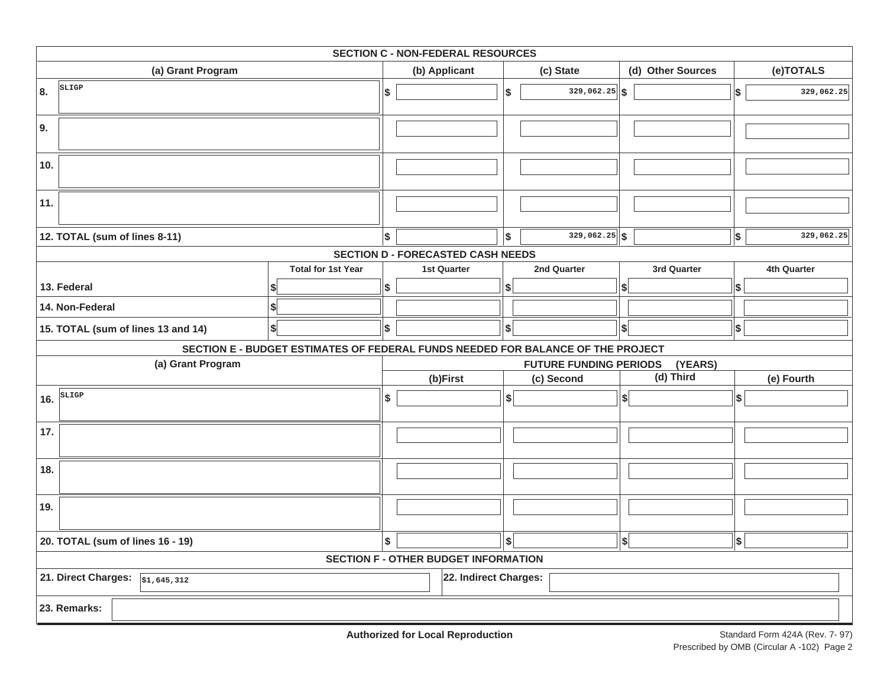| <b>SECTION C - NON-FEDERAL RESOURCES</b>                                   |                                                                                 |     |                    |     |                               |                              |            |             |
|----------------------------------------------------------------------------|---------------------------------------------------------------------------------|-----|--------------------|-----|-------------------------------|------------------------------|------------|-------------|
| (a) Grant Program                                                          |                                                                                 |     | (b) Applicant      |     | (c) State                     | (d) Other Sources            |            | (e)TOTALS   |
| SLIGP<br>8.                                                                |                                                                                 | \$  |                    | \$  | $329,062.25$ \$               |                              | \$         | 329,062.25  |
| 9.                                                                         |                                                                                 |     |                    |     |                               |                              |            |             |
| 10.                                                                        |                                                                                 |     |                    |     |                               |                              |            |             |
| 11.                                                                        |                                                                                 |     |                    |     |                               |                              |            |             |
| 12. TOTAL (sum of lines 8-11)                                              |                                                                                 | l\$ |                    | Ι\$ | $329,062.25$ \$               |                              | $\vert$ \$ | 329,062.25  |
| <b>SECTION D - FORECASTED CASH NEEDS</b>                                   |                                                                                 |     |                    |     |                               |                              |            |             |
|                                                                            | <b>Total for 1st Year</b>                                                       |     | <b>1st Quarter</b> |     | 2nd Quarter                   | 3rd Quarter                  |            | 4th Quarter |
| 13. Federal                                                                |                                                                                 | \$  |                    | \$  |                               | S                            | \$         |             |
| 14. Non-Federal                                                            |                                                                                 |     |                    |     |                               |                              |            |             |
| 15. TOTAL (sum of lines 13 and 14)                                         | \$                                                                              | \$  |                    | \$  |                               | \$                           | $\vert$ \$ |             |
|                                                                            | SECTION E - BUDGET ESTIMATES OF FEDERAL FUNDS NEEDED FOR BALANCE OF THE PROJECT |     |                    |     |                               |                              |            |             |
| (a) Grant Program                                                          |                                                                                 |     |                    |     | <b>FUTURE FUNDING PERIODS</b> | (YEARS)                      |            |             |
|                                                                            |                                                                                 |     | (b)First           |     | (c) Second                    | $(d)$ Third                  |            | (e) Fourth  |
| SLIGP<br>16.                                                               |                                                                                 | \$  |                    | s   |                               | $\left  \right $             | \$         |             |
| 17.                                                                        |                                                                                 |     |                    |     |                               |                              |            |             |
| 18.                                                                        |                                                                                 |     |                    |     |                               |                              |            |             |
| 19.                                                                        |                                                                                 |     |                    |     |                               |                              |            |             |
| 20. TOTAL (sum of lines 16 - 19)                                           |                                                                                 |     |                    | \$  |                               | $\left  \frac{1}{2} \right $ | \$         |             |
| <b>SECTION F - OTHER BUDGET INFORMATION</b>                                |                                                                                 |     |                    |     |                               |                              |            |             |
| 21. Direct Charges: $\sqrt{\frac{1}{51,645,312}}$<br>22. Indirect Charges: |                                                                                 |     |                    |     |                               |                              |            |             |
| 23. Remarks:                                                               |                                                                                 |     |                    |     |                               |                              |            |             |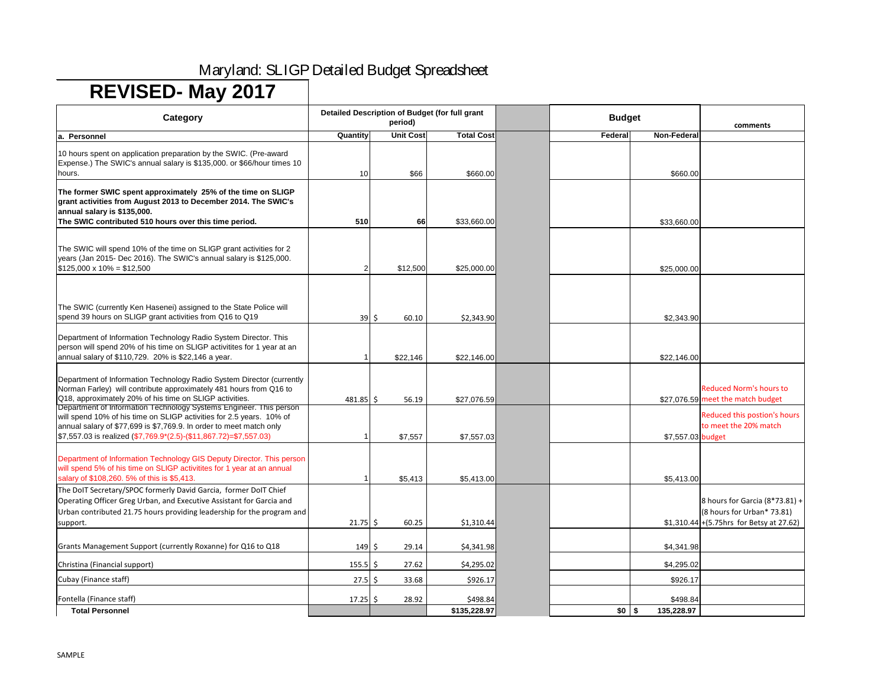| Category                                                                                                                                                                                                                                                                                         |              | period)          | Detailed Description of Budget (for full grant | <b>Budget</b>                 | comments                                                                                                    |
|--------------------------------------------------------------------------------------------------------------------------------------------------------------------------------------------------------------------------------------------------------------------------------------------------|--------------|------------------|------------------------------------------------|-------------------------------|-------------------------------------------------------------------------------------------------------------|
| a. Personnel                                                                                                                                                                                                                                                                                     | Quantity     | <b>Unit Cost</b> | <b>Total Cost</b>                              | <b>Non-Federal</b><br>Federal |                                                                                                             |
| 10 hours spent on application preparation by the SWIC. (Pre-award<br>Expense.) The SWIC's annual salary is \$135,000. or \$66/hour times 10<br>hours.                                                                                                                                            | 10           | \$66             | \$660.00                                       | \$660.00                      |                                                                                                             |
| The former SWIC spent approximately 25% of the time on SLIGP<br>grant activities from August 2013 to December 2014. The SWIC's<br>annual salary is \$135,000.<br>The SWIC contributed 510 hours over this time period.                                                                           | 510          | 66               | \$33,660.00                                    | \$33,660.00                   |                                                                                                             |
| The SWIC will spend 10% of the time on SLIGP grant activities for 2<br>years (Jan 2015- Dec 2016). The SWIC's annual salary is \$125,000.<br>$$125,000 \times 10\% = $12,500$                                                                                                                    |              | \$12,500         | \$25,000.00                                    | \$25,000.00                   |                                                                                                             |
| The SWIC (currently Ken Hasenei) assigned to the State Police will<br>spend 39 hours on SLIGP grant activities from Q16 to Q19                                                                                                                                                                   | 39           | \$<br>60.10      | \$2,343.90                                     | \$2,343.90                    |                                                                                                             |
| Department of Information Technology Radio System Director. This<br>person will spend 20% of his time on SLIGP activitites for 1 year at an<br>annual salary of \$110,729. 20% is \$22,146 a year.                                                                                               |              | \$22,146         | \$22,146.00                                    | \$22,146.00                   |                                                                                                             |
| Department of Information Technology Radio System Director (currently<br>Norman Farley) will contribute approximately 481 hours from Q16 to<br>Q18, approximately 20% of his time on SLIGP activities.                                                                                           | $481.85$ \$  | 56.19            | \$27,076.59                                    |                               | <b>Reduced Norm's hours to</b><br>\$27,076.59 meet the match budget                                         |
| Department of Information Technology Systems Engineer. This person<br>will spend 10% of his time on SLIGP activities for 2.5 years. 10% of<br>annual salary of \$77,699 is \$7,769.9. In order to meet match only<br>$\frac{157}{557.03}$ is realized (\$7,769.9*(2.5)-(\$11,867.72)=\$7,557.03) |              | \$7,557          | \$7,557.03                                     | \$7,557.03 budget             | Reduced this postion's hours<br>to meet the 20% match                                                       |
| Department of Information Technology GIS Deputy Director. This person<br>will spend 5% of his time on SLIGP activitites for 1 year at an annual<br>salary of \$108,260. 5% of this is \$5,413.                                                                                                   |              | \$5,413          | \$5,413.00                                     | \$5,413.00                    |                                                                                                             |
| The DoIT Secretary/SPOC formerly David Garcia, former DoIT Chief<br>Operating Officer Greg Urban, and Executive Assistant for Garcia and<br>Urban contributed 21.75 hours providing leadership for the program and<br>support.                                                                   | $21.75$ \$   | 60.25            | \$1,310.44                                     |                               | 8 hours for Garcia (8*73.81) +<br>(8 hours for Urban* 73.81)<br>$$1,310.44$ + (5.75 hrs for Betsy at 27.62) |
| Grants Management Support (currently Roxanne) for Q16 to Q18                                                                                                                                                                                                                                     | $149 \mid 5$ | 29.14            | \$4,341.98                                     | \$4,341.98                    |                                                                                                             |
| Christina (Financial support)                                                                                                                                                                                                                                                                    | $155.5$ \$   | 27.62            | \$4,295.02                                     | \$4,295.02                    |                                                                                                             |
| Cubay (Finance staff)                                                                                                                                                                                                                                                                            | $27.5$ \$    | 33.68            | \$926.17                                       | \$926.17                      |                                                                                                             |
| Fontella (Finance staff)                                                                                                                                                                                                                                                                         | $17.25$ \$   | 28.92            | \$498.84                                       | \$498.84                      |                                                                                                             |
| <b>Total Personnel</b>                                                                                                                                                                                                                                                                           |              |                  | \$135,228.97                                   | $$0$ \ \$<br>135,228.97       |                                                                                                             |

# Maryland: SLIGP Detailed Budget Spreadsheet

# **REVISED- May 2017**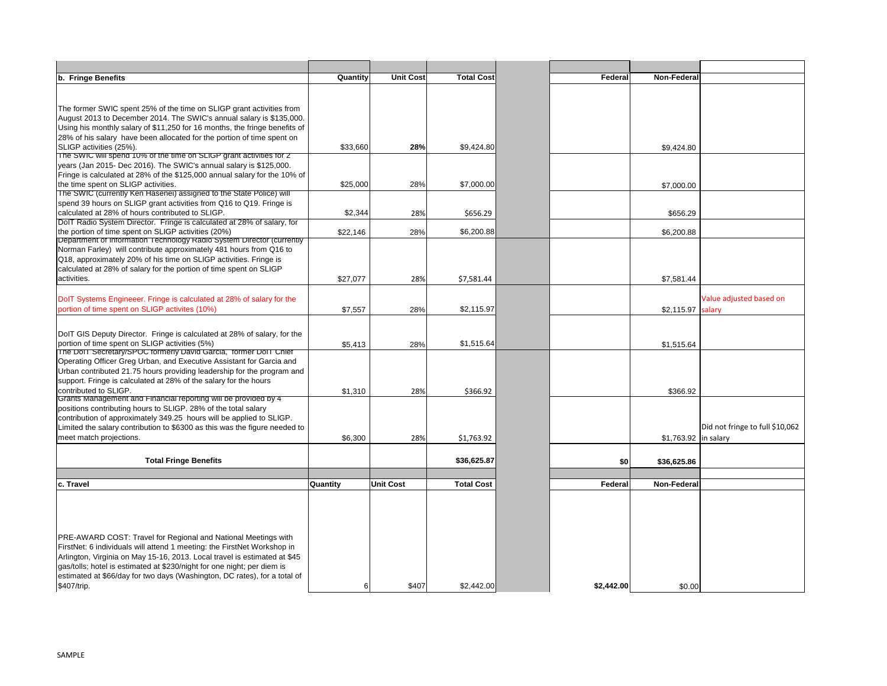| b. Fringe Benefits                                                                                                                                                                                                                                                                                                                                                                                   | Quantity        | <b>Unit Cost</b> | <b>Total Cost</b> | Federal    | <b>Non-Federal</b> |
|------------------------------------------------------------------------------------------------------------------------------------------------------------------------------------------------------------------------------------------------------------------------------------------------------------------------------------------------------------------------------------------------------|-----------------|------------------|-------------------|------------|--------------------|
|                                                                                                                                                                                                                                                                                                                                                                                                      |                 |                  |                   |            |                    |
|                                                                                                                                                                                                                                                                                                                                                                                                      |                 |                  |                   |            |                    |
| The former SWIC spent 25% of the time on SLIGP grant activities from                                                                                                                                                                                                                                                                                                                                 |                 |                  |                   |            |                    |
| August 2013 to December 2014. The SWIC's annual salary is \$135,000.                                                                                                                                                                                                                                                                                                                                 |                 |                  |                   |            |                    |
| Using his monthly salary of \$11,250 for 16 months, the fringe benefits of                                                                                                                                                                                                                                                                                                                           |                 |                  |                   |            |                    |
| 28% of his salary have been allocated for the portion of time spent on                                                                                                                                                                                                                                                                                                                               |                 |                  |                   |            |                    |
| SLIGP activities (25%).                                                                                                                                                                                                                                                                                                                                                                              | \$33,660        | 28%              | \$9,424.80        |            | \$9,424.80         |
| The SWIC will spend 10% of the time on SLIGP grant activities for 2                                                                                                                                                                                                                                                                                                                                  |                 |                  |                   |            |                    |
| years (Jan 2015- Dec 2016). The SWIC's annual salary is \$125,000.                                                                                                                                                                                                                                                                                                                                   |                 |                  |                   |            |                    |
| Fringe is calculated at 28% of the \$125,000 annual salary for the 10% of                                                                                                                                                                                                                                                                                                                            |                 |                  |                   |            |                    |
| the time spent on SLIGP activities.                                                                                                                                                                                                                                                                                                                                                                  | \$25,000        | 28%              | \$7,000.00        |            | \$7,000.00         |
| The SWIC (currently Ken Hasenei) assigned to the State Police) will                                                                                                                                                                                                                                                                                                                                  |                 |                  |                   |            |                    |
| spend 39 hours on SLIGP grant activities from Q16 to Q19. Fringe is                                                                                                                                                                                                                                                                                                                                  |                 |                  |                   |            |                    |
| calculated at 28% of hours contributed to SLIGP.                                                                                                                                                                                                                                                                                                                                                     | \$2,344         | 28%              | \$656.29          |            | \$656.29           |
| DolT Radio System Director. Fringe is calculated at 28% of salary, for                                                                                                                                                                                                                                                                                                                               |                 |                  |                   |            |                    |
| the portion of time spent on SLIGP activities (20%)<br>Department of Information Technology Radio System Director (currently                                                                                                                                                                                                                                                                         | \$22,146        | 28%              | \$6,200.88        |            | \$6,200.88         |
| Norman Farley) will contribute approximately 481 hours from Q16 to                                                                                                                                                                                                                                                                                                                                   |                 |                  |                   |            |                    |
| Q18, approximately 20% of his time on SLIGP activities. Fringe is                                                                                                                                                                                                                                                                                                                                    |                 |                  |                   |            |                    |
| calculated at 28% of salary for the portion of time spent on SLIGP                                                                                                                                                                                                                                                                                                                                   |                 |                  |                   |            |                    |
| activities.                                                                                                                                                                                                                                                                                                                                                                                          | \$27,077        | 28%              | \$7,581.44        |            | \$7,581.44         |
|                                                                                                                                                                                                                                                                                                                                                                                                      |                 |                  |                   |            |                    |
| DoIT Systems Engineeer. Fringe is calculated at 28% of salary for the                                                                                                                                                                                                                                                                                                                                |                 |                  |                   |            |                    |
| portion of time spent on SLIGP activites (10%)                                                                                                                                                                                                                                                                                                                                                       | \$7,557         | 28%              | \$2,115.97        |            | \$2,115.97         |
|                                                                                                                                                                                                                                                                                                                                                                                                      |                 |                  |                   |            |                    |
|                                                                                                                                                                                                                                                                                                                                                                                                      |                 |                  |                   |            |                    |
| DoIT GIS Deputy Director. Fringe is calculated at 28% of salary, for the                                                                                                                                                                                                                                                                                                                             |                 |                  |                   |            |                    |
| portion of time spent on SLIGP activities (5%)                                                                                                                                                                                                                                                                                                                                                       | \$5,413         | 28%              | \$1,515.64        |            | \$1,515.64         |
| The Doll Secretary/SPOC formerly David Garcia, former Doll Chief                                                                                                                                                                                                                                                                                                                                     |                 |                  |                   |            |                    |
| Operating Officer Greg Urban, and Executive Assistant for Garcia and                                                                                                                                                                                                                                                                                                                                 |                 |                  |                   |            |                    |
| Urban contributed 21.75 hours providing leadership for the program and                                                                                                                                                                                                                                                                                                                               |                 |                  |                   |            |                    |
| support. Fringe is calculated at 28% of the salary for the hours                                                                                                                                                                                                                                                                                                                                     |                 |                  |                   |            |                    |
| contributed to SLIGP.                                                                                                                                                                                                                                                                                                                                                                                | \$1,310         | 28%              | \$366.92          |            | \$366.92           |
| Grants Management and Financial reporting will be provided by 4                                                                                                                                                                                                                                                                                                                                      |                 |                  |                   |            |                    |
| positions contributing hours to SLIGP. 28% of the total salary<br>contribution of approximately 349.25 hours will be applied to SLIGP.                                                                                                                                                                                                                                                               |                 |                  |                   |            |                    |
| Limited the salary contribution to \$6300 as this was the figure needed to                                                                                                                                                                                                                                                                                                                           |                 |                  |                   |            |                    |
| meet match projections.                                                                                                                                                                                                                                                                                                                                                                              |                 |                  |                   |            |                    |
|                                                                                                                                                                                                                                                                                                                                                                                                      | \$6,300         | 28%              | \$1,763.92        |            | \$1,763.92         |
|                                                                                                                                                                                                                                                                                                                                                                                                      |                 |                  |                   |            |                    |
| <b>Total Fringe Benefits</b>                                                                                                                                                                                                                                                                                                                                                                         |                 |                  | \$36,625.87       | \$0        | \$36,625.86        |
|                                                                                                                                                                                                                                                                                                                                                                                                      |                 |                  |                   |            |                    |
| c. Travel                                                                                                                                                                                                                                                                                                                                                                                            | <b>Quantity</b> | <b>Unit Cost</b> | <b>Total Cost</b> | Federal    | <b>Non-Federal</b> |
|                                                                                                                                                                                                                                                                                                                                                                                                      |                 |                  |                   |            |                    |
| <b>PRE-AWARD COST: Travel for Regional and National Meetings with</b><br>FirstNet: 6 individuals will attend 1 meeting: the FirstNet Workshop in<br>Arlington, Virginia on May 15-16, 2013. Local travel is estimated at \$45<br>gas/tolls; hotel is estimated at \$230/night for one night; per diem is<br>estimated at \$66/day for two days (Washington, DC rates), for a total of<br>\$407/trip. | 6               | \$407            | \$2,442.00        | \$2,442.00 | \$0.00             |

| eral |                                 |
|------|---------------------------------|
|      |                                 |
|      |                                 |
|      |                                 |
|      |                                 |
|      |                                 |
|      |                                 |
| .80  |                                 |
|      |                                 |
|      |                                 |
| .00  |                                 |
|      |                                 |
|      |                                 |
| .29  |                                 |
|      |                                 |
| .88  |                                 |
|      |                                 |
|      |                                 |
|      |                                 |
| .44  |                                 |
|      |                                 |
|      | Value adjusted based on         |
| .97  | salary                          |
|      |                                 |
|      |                                 |
| .64  |                                 |
|      |                                 |
|      |                                 |
|      |                                 |
| .92  |                                 |
|      |                                 |
|      |                                 |
|      | Did not fringe to full \$10,062 |
| .92  | in salary                       |
|      |                                 |
| .86  |                                 |
|      |                                 |
| eral |                                 |
|      |                                 |
|      |                                 |
|      |                                 |
|      |                                 |
|      |                                 |
|      |                                 |
|      |                                 |
|      |                                 |
|      |                                 |
| 0.00 |                                 |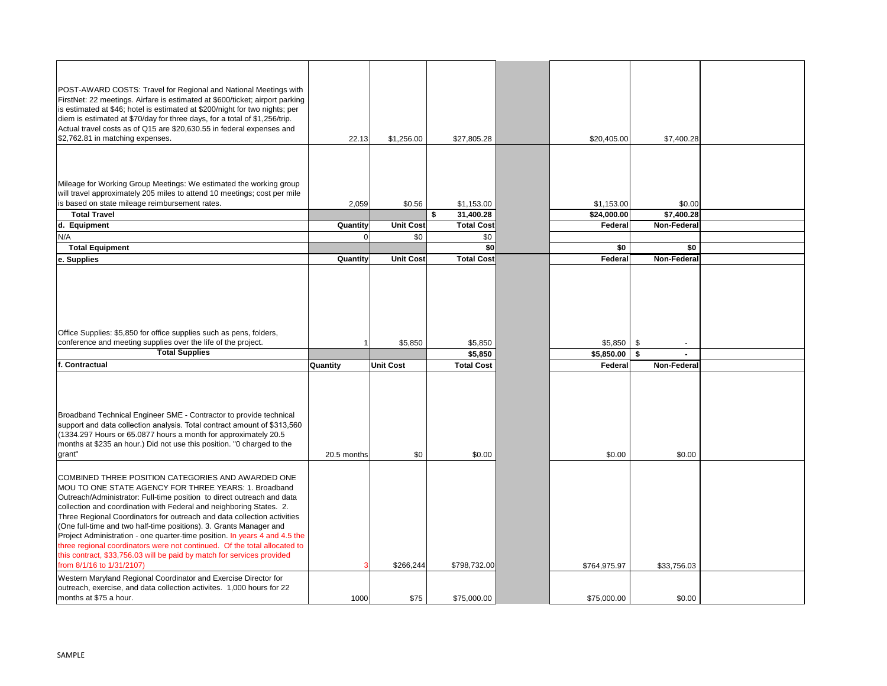| POST-AWARD COSTS: Travel for Regional and National Meetings with<br>FirstNet: 22 meetings. Airfare is estimated at \$600/ticket; airport parking<br>is estimated at \$46; hotel is estimated at \$200/night for two nights; per<br>diem is estimated at \$70/day for three days, for a total of \$1,256/trip.<br>Actual travel costs as of Q15 are \$20,630.55 in federal expenses and<br>\$2,762.81 in matching expenses.                                                                                                                                                                                                                                                      | 22.13           | \$1,256.00       | \$27,805.28                   | \$20,405.00               | \$7,400.28           |  |
|---------------------------------------------------------------------------------------------------------------------------------------------------------------------------------------------------------------------------------------------------------------------------------------------------------------------------------------------------------------------------------------------------------------------------------------------------------------------------------------------------------------------------------------------------------------------------------------------------------------------------------------------------------------------------------|-----------------|------------------|-------------------------------|---------------------------|----------------------|--|
| Mileage for Working Group Meetings: We estimated the working group<br>will travel approximately 205 miles to attend 10 meetings; cost per mile<br>is based on state mileage reimbursement rates.<br><b>Total Travel</b>                                                                                                                                                                                                                                                                                                                                                                                                                                                         | 2,059           | \$0.56           | \$1,153.00<br>\$<br>31,400.28 | \$1,153.00<br>\$24,000.00 | \$0.00<br>\$7,400.28 |  |
| d. Equipment                                                                                                                                                                                                                                                                                                                                                                                                                                                                                                                                                                                                                                                                    | <b>Quantity</b> | <b>Unit Cost</b> | <b>Total Cost</b>             | Federal                   | Non-Federal          |  |
| N/A                                                                                                                                                                                                                                                                                                                                                                                                                                                                                                                                                                                                                                                                             |                 | \$0              | \$0                           |                           |                      |  |
| <b>Total Equipment</b>                                                                                                                                                                                                                                                                                                                                                                                                                                                                                                                                                                                                                                                          |                 |                  | \$0                           | \$0                       | \$0                  |  |
| e. Supplies                                                                                                                                                                                                                                                                                                                                                                                                                                                                                                                                                                                                                                                                     | <b>Quantity</b> | <b>Unit Cost</b> | <b>Total Cost</b>             | Federal                   | <b>Non-Federal</b>   |  |
| Office Supplies: \$5,850 for office supplies such as pens, folders,<br>conference and meeting supplies over the life of the project.<br><b>Total Supplies</b>                                                                                                                                                                                                                                                                                                                                                                                                                                                                                                                   |                 | \$5,850          | \$5,850<br>\$5,850            | \$5,850<br>\$5,850.00     | \$                   |  |
| f. Contractual                                                                                                                                                                                                                                                                                                                                                                                                                                                                                                                                                                                                                                                                  | Quantity        | <b>Unit Cost</b> | <b>Total Cost</b>             | Federal                   | <b>Non-Federal</b>   |  |
| Broadband Technical Engineer SME - Contractor to provide technical<br>support and data collection analysis. Total contract amount of \$313,560<br>(1334.297 Hours or 65.0877 hours a month for approximately 20.5<br>months at \$235 an hour.) Did not use this position. "0 charged to the<br>grant"                                                                                                                                                                                                                                                                                                                                                                           | 20.5 months     | \$0              | \$0.00                        | \$0.00                    | \$0.00               |  |
| COMBINED THREE POSITION CATEGORIES AND AWARDED ONE<br>MOU TO ONE STATE AGENCY FOR THREE YEARS: 1. Broadband<br>Outreach/Administrator: Full-time position to direct outreach and data<br>collection and coordination with Federal and neighboring States. 2.<br>Three Regional Coordinators for outreach and data collection activities<br>(One full-time and two half-time positions). 3. Grants Manager and<br>Project Administration - one quarter-time position. In years 4 and 4.5 the<br>three regional coordinators were not continued. Of the total allocated to<br>this contract, \$33,756.03 will be paid by match for services provided<br>from 8/1/16 to 1/31/2107) |                 | \$266,244        | \$798,732.00                  | \$764,975.97              | \$33,756.03          |  |
| Western Maryland Regional Coordinator and Exercise Director for<br>outreach, exercise, and data collection activites. 1,000 hours for 22<br>months at \$75 a hour.                                                                                                                                                                                                                                                                                                                                                                                                                                                                                                              | 1000            | \$75             | \$75,000.00                   | \$75,000.00               | \$0.00               |  |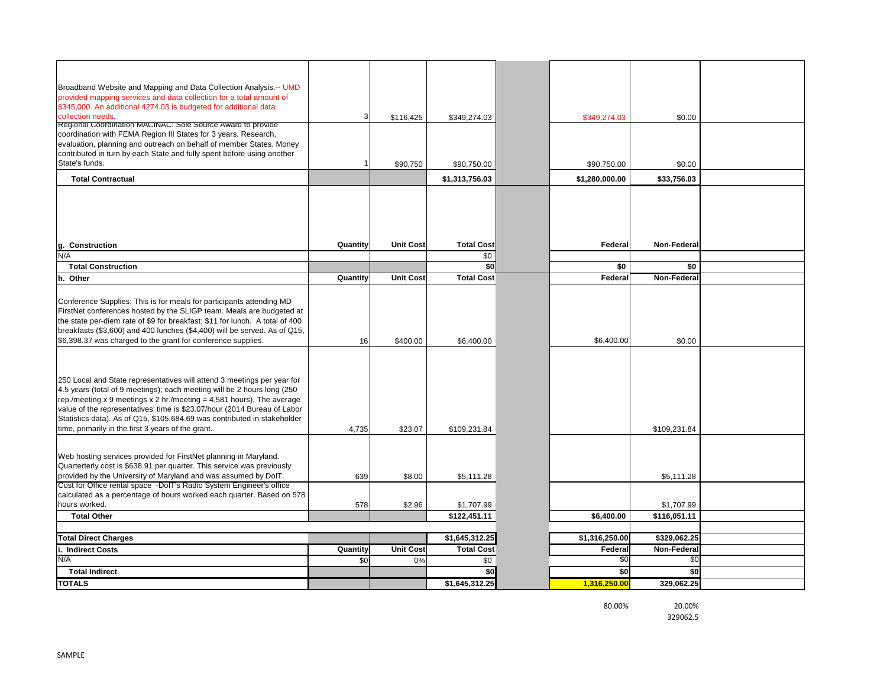| Broadband Website and Mapping and Data Collection Analysis.-- UMD                                                                                                                                                                                                                                                                                                                                                                         |                 |                  |                   |                |                    |  |
|-------------------------------------------------------------------------------------------------------------------------------------------------------------------------------------------------------------------------------------------------------------------------------------------------------------------------------------------------------------------------------------------------------------------------------------------|-----------------|------------------|-------------------|----------------|--------------------|--|
| provided mapping services and data collection for a total amount of                                                                                                                                                                                                                                                                                                                                                                       |                 |                  |                   |                |                    |  |
| \$345,000. An additional 4274.03 is budgeted for additional data                                                                                                                                                                                                                                                                                                                                                                          |                 |                  |                   |                |                    |  |
| collection needs.<br>Regional Coordination MACINAC: Sole Source Award to provide                                                                                                                                                                                                                                                                                                                                                          |                 | \$116,425        | \$349,274.03      | \$349,274.03   | \$0.00             |  |
| coordination with FEMA Region III States for 3 years. Research,                                                                                                                                                                                                                                                                                                                                                                           |                 |                  |                   |                |                    |  |
| evaluation, planning and outreach on behalf of member States. Money                                                                                                                                                                                                                                                                                                                                                                       |                 |                  |                   |                |                    |  |
| contributed in turn by each State and fully spent before using another                                                                                                                                                                                                                                                                                                                                                                    |                 |                  |                   |                |                    |  |
| State's funds.                                                                                                                                                                                                                                                                                                                                                                                                                            |                 | \$90,750         | \$90,750.00       | \$90,750.00    | \$0.00             |  |
| <b>Total Contractual</b>                                                                                                                                                                                                                                                                                                                                                                                                                  |                 |                  | \$1,313,756.03    | \$1,280,000.00 | \$33,756.03        |  |
|                                                                                                                                                                                                                                                                                                                                                                                                                                           |                 |                  |                   |                |                    |  |
| <b>Construction</b><br>g.                                                                                                                                                                                                                                                                                                                                                                                                                 | Quantity        | <b>Unit Cost</b> | <b>Total Cost</b> | Federal        | <b>Non-Federal</b> |  |
| N/A                                                                                                                                                                                                                                                                                                                                                                                                                                       |                 |                  | \$0               |                |                    |  |
| <b>Total Construction</b>                                                                                                                                                                                                                                                                                                                                                                                                                 |                 |                  | \$0               | \$0            | \$0                |  |
| h. Other                                                                                                                                                                                                                                                                                                                                                                                                                                  | Quantity        | <b>Unit Cost</b> | <b>Total Cost</b> | Federal        | Non-Federal        |  |
|                                                                                                                                                                                                                                                                                                                                                                                                                                           |                 |                  |                   |                |                    |  |
| Conference Supplies: This is for meals for participants attending MD<br>FirstNet conferences hosted by the SLIGP team. Meals are budgeted at<br>the state per-diem rate of \$9 for breakfast; \$11 for lunch. A total of 400                                                                                                                                                                                                              |                 |                  |                   |                |                    |  |
| breakfasts (\$3,600) and 400 lunches (\$4,400) will be served. As of Q15,                                                                                                                                                                                                                                                                                                                                                                 |                 |                  |                   |                |                    |  |
| \$6,398.37 was charged to the grant for conference supplies.                                                                                                                                                                                                                                                                                                                                                                              | 16              | \$400.00         | \$6,400.00        | \$6,400.00     | \$0.00             |  |
|                                                                                                                                                                                                                                                                                                                                                                                                                                           |                 |                  |                   |                |                    |  |
| 250 Local and State representatives will attend 3 meetings per year for<br>4.5 years (total of 9 meetings); each meeting will be 2 hours long (250<br>rep./meeting x 9 meetings x 2 hr./meeting = 4,581 hours). The average<br>value of the representatives' time is \$23.07/hour (2014 Bureau of Labor<br>Statistics data). As of Q15, \$105,684.69 was contributed in stakeholder<br>time, primarily in the first 3 years of the grant. | 4,735           | \$23.07          | \$109,231.84      |                | \$109,231.84       |  |
| Web hosting services provided for FirstNet planning in Maryland.<br>Quarterterly cost is \$638.91 per quarter. This service was previously<br>provided by the University of Maryland and was assumed by DoIT.                                                                                                                                                                                                                             | 639             | \$8.00           | \$5,111.28        |                | \$5,111.28         |  |
| Cost for Office rental space -DoIT's Radio System Engineer's office                                                                                                                                                                                                                                                                                                                                                                       |                 |                  |                   |                |                    |  |
| calculated as a percentage of hours worked each quarter. Based on 578                                                                                                                                                                                                                                                                                                                                                                     |                 |                  |                   |                |                    |  |
| hours worked.                                                                                                                                                                                                                                                                                                                                                                                                                             | 578             | \$2.96           | \$1,707.99        |                | \$1,707.99         |  |
| <b>Total Other</b>                                                                                                                                                                                                                                                                                                                                                                                                                        |                 |                  | \$122,451.11      | \$6,400.00     | \$116,051.11       |  |
| <b>Total Direct Charges</b>                                                                                                                                                                                                                                                                                                                                                                                                               |                 |                  | \$1,645,312.25    | \$1,316,250.00 | \$329,062.25       |  |
| i. Indirect Costs                                                                                                                                                                                                                                                                                                                                                                                                                         | <b>Quantity</b> | Unit Cost        | <b>Total Cost</b> | Federal        | <b>Non-Federal</b> |  |
| N/A                                                                                                                                                                                                                                                                                                                                                                                                                                       | \$0             | 0%               | \$0               | \$0            | \$0                |  |
| <b>Total Indirect</b>                                                                                                                                                                                                                                                                                                                                                                                                                     |                 |                  |                   |                |                    |  |
|                                                                                                                                                                                                                                                                                                                                                                                                                                           |                 |                  | \$0               | \$0            | \$0                |  |

80.00% 20.00%

329062.5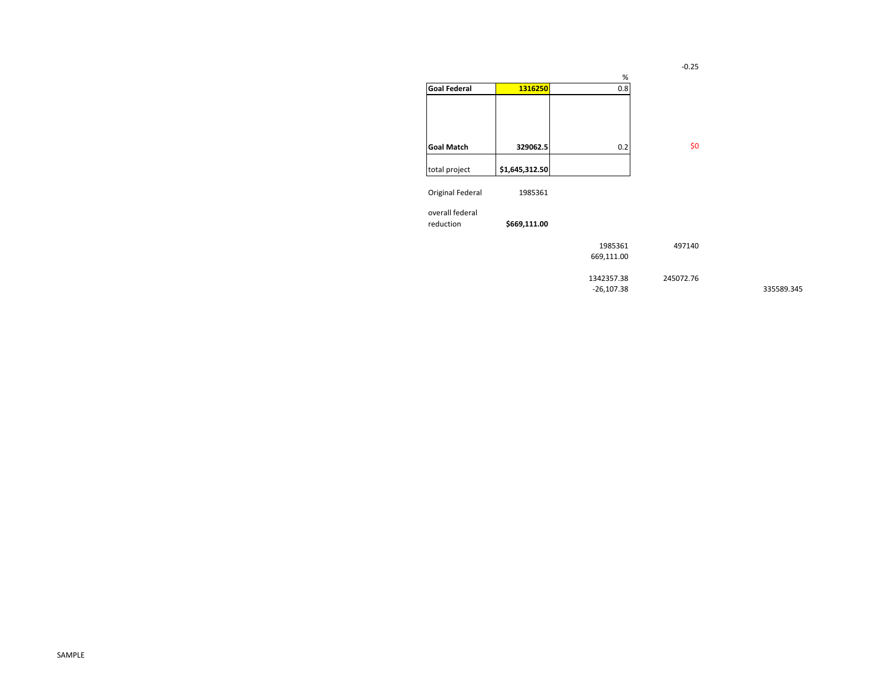-0.25

7140

2.76

| $\%$         |              |                           |
|--------------|--------------|---------------------------|
|              |              | <b>Goal Federal</b>       |
|              |              |                           |
|              |              |                           |
|              |              |                           |
| 0.2          | 329062.5     | <b>Goal Match</b>         |
|              |              | total project             |
|              |              |                           |
|              | 1985361      | Original Federal          |
|              |              | overall federal           |
|              | \$669,111.00 | reduction                 |
| 1985361      |              |                           |
| 669,111.00   |              |                           |
| 1342357.38   |              |                           |
| $-26,107.38$ |              |                           |
|              | 0.8          | 1316250<br>\$1,645,312.50 |

-26,107.38 335589.345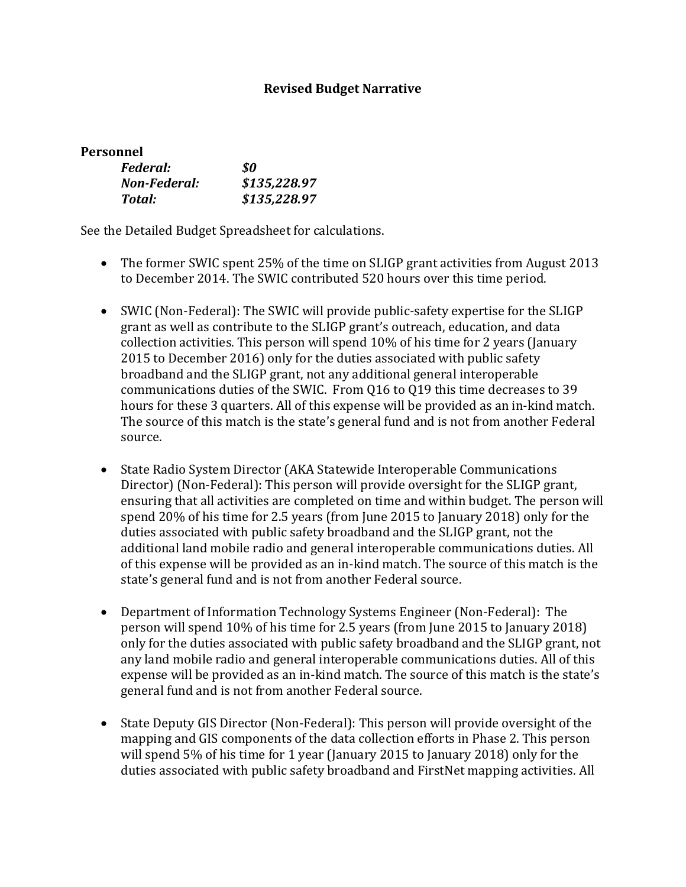#### **Revised Budget Narrative**

| Personnel       |         |
|-----------------|---------|
| <i>Federal:</i> | \$0     |
| Non-Federal:    | \$135.2 |

| Non-Federal: | \$135,228.97 |
|--------------|--------------|
| Total:       | \$135,228.97 |

See the Detailed Budget Spreadsheet for calculations.

- The former SWIC spent 25% of the time on SLIGP grant activities from August 2013 to December 2014. The SWIC contributed 520 hours over this time period.
- SWIC (Non-Federal): The SWIC will provide public-safety expertise for the SLIGP grant as well as contribute to the SLIGP grant's outreach, education, and data collection activities. This person will spend 10% of his time for 2 years (January 2015 to December 2016) only for the duties associated with public safety broadband and the SLIGP grant, not any additional general interoperable communications duties of the SWIC. From Q16 to Q19 this time decreases to 39 hours for these 3 quarters. All of this expense will be provided as an in-kind match. The source of this match is the state's general fund and is not from another Federal source.
- State Radio System Director (AKA Statewide Interoperable Communications Director) (Non-Federal): This person will provide oversight for the SLIGP grant, ensuring that all activities are completed on time and within budget. The person will spend 20% of his time for 2.5 years (from June 2015 to January 2018) only for the duties associated with public safety broadband and the SLIGP grant, not the additional land mobile radio and general interoperable communications duties. All of this expense will be provided as an in-kind match. The source of this match is the state's general fund and is not from another Federal source.
- Department of Information Technology Systems Engineer (Non-Federal): The person will spend 10% of his time for 2.5 years (from June 2015 to January 2018) only for the duties associated with public safety broadband and the SLIGP grant, not any land mobile radio and general interoperable communications duties. All of this expense will be provided as an in-kind match. The source of this match is the state's general fund and is not from another Federal source.
- State Deputy GIS Director (Non-Federal): This person will provide oversight of the mapping and GIS components of the data collection efforts in Phase 2. This person will spend 5% of his time for 1 year (January 2015 to January 2018) only for the duties associated with public safety broadband and FirstNet mapping activities. All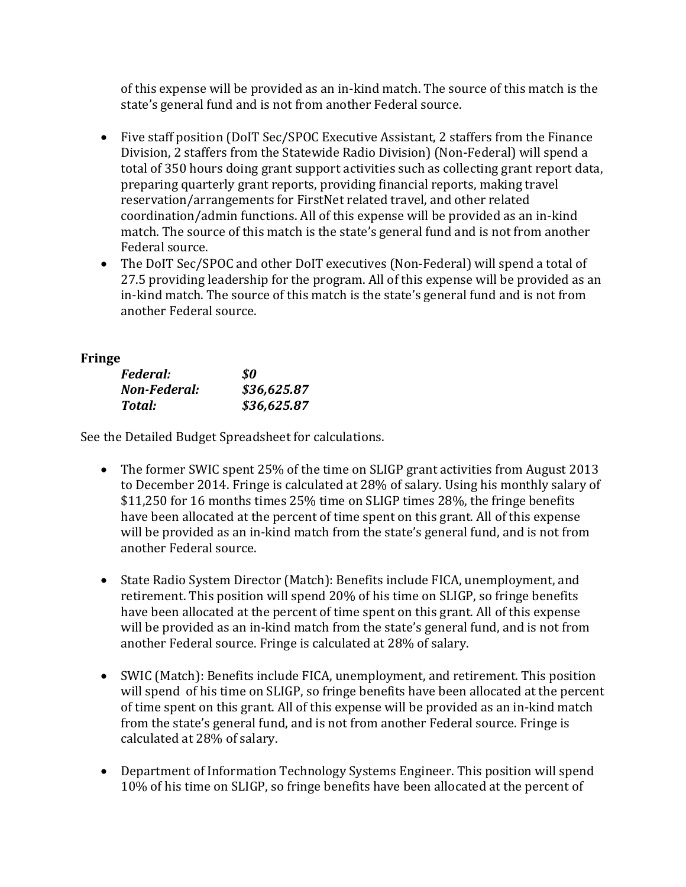of this expense will be provided as an in-kind match. The source of this match is the state's general fund and is not from another Federal source.

- Five staff position (DoIT Sec/SPOC Executive Assistant, 2 staffers from the Finance Division, 2 staffers from the Statewide Radio Division) (Non-Federal) will spend a total of 350 hours doing grant support activities such as collecting grant report data, preparing quarterly grant reports, providing financial reports, making travel reservation/arrangements for FirstNet related travel, and other related coordination/admin functions. All of this expense will be provided as an in-kind match. The source of this match is the state's general fund and is not from another Federal source.
- The DoIT Sec/SPOC and other DoIT executives (Non-Federal) will spend a total of 27.5 providing leadership for the program. All of this expense will be provided as an in-kind match. The source of this match is the state's general fund and is not from another Federal source.

## **Fringe**

| Federal:     | \$0         |
|--------------|-------------|
| Non-Federal: | \$36,625.87 |
| Total:       | \$36,625.87 |

See the Detailed Budget Spreadsheet for calculations.

- The former SWIC spent 25% of the time on SLIGP grant activities from August 2013 to December 2014. Fringe is calculated at 28% of salary. Using his monthly salary of \$11,250 for 16 months times 25% time on SLIGP times 28%, the fringe benefits have been allocated at the percent of time spent on this grant. All of this expense will be provided as an in-kind match from the state's general fund, and is not from another Federal source.
- State Radio System Director (Match): Benefits include FICA, unemployment, and retirement. This position will spend 20% of his time on SLIGP, so fringe benefits have been allocated at the percent of time spent on this grant. All of this expense will be provided as an in-kind match from the state's general fund, and is not from another Federal source. Fringe is calculated at 28% of salary.
- SWIC (Match): Benefits include FICA, unemployment, and retirement. This position will spend of his time on SLIGP, so fringe benefits have been allocated at the percent of time spent on this grant. All of this expense will be provided as an in-kind match from the state's general fund, and is not from another Federal source. Fringe is calculated at 28% of salary.
- Department of Information Technology Systems Engineer. This position will spend 10% of his time on SLIGP, so fringe benefits have been allocated at the percent of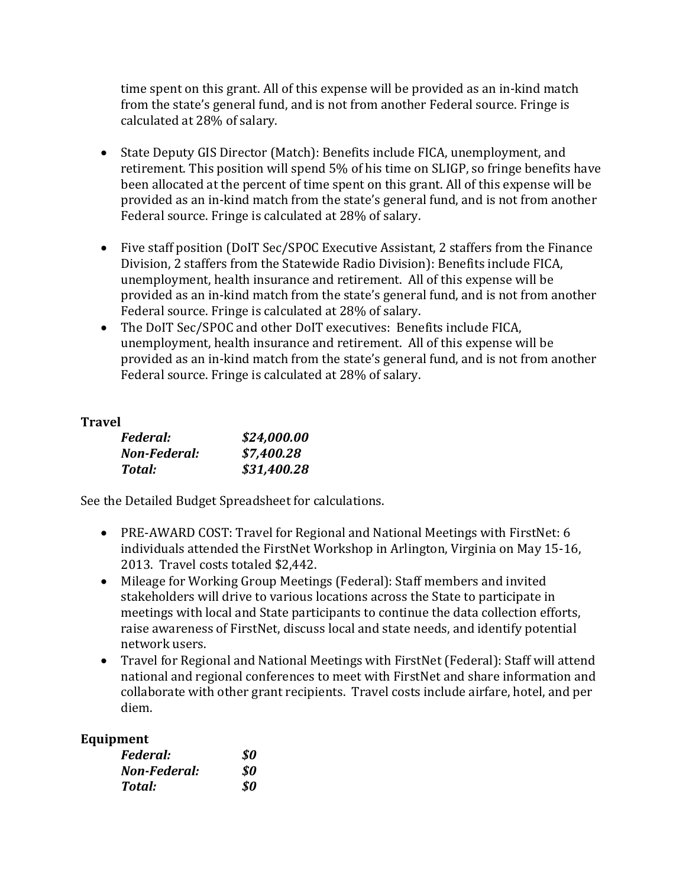time spent on this grant. All of this expense will be provided as an in-kind match from the state's general fund, and is not from another Federal source. Fringe is calculated at 28% of salary.

- State Deputy GIS Director (Match): Benefits include FICA, unemployment, and retirement. This position will spend 5% of his time on SLIGP, so fringe benefits have been allocated at the percent of time spent on this grant. All of this expense will be provided as an in-kind match from the state's general fund, and is not from another Federal source. Fringe is calculated at 28% of salary.
- Five staff position (DoIT Sec/SPOC Executive Assistant, 2 staffers from the Finance Division, 2 staffers from the Statewide Radio Division): Benefits include FICA, unemployment, health insurance and retirement. All of this expense will be provided as an in-kind match from the state's general fund, and is not from another Federal source. Fringe is calculated at 28% of salary.
- The DoIT Sec/SPOC and other DoIT executives: Benefits include FICA, unemployment, health insurance and retirement. All of this expense will be provided as an in-kind match from the state's general fund, and is not from another Federal source. Fringe is calculated at 28% of salary.

### **Travel**

| Federal:     | \$24,000.00 |
|--------------|-------------|
| Non-Federal: | \$7,400.28  |
| Total:       | \$31,400.28 |

See the Detailed Budget Spreadsheet for calculations.

- PRE-AWARD COST: Travel for Regional and National Meetings with FirstNet: 6 individuals attended the FirstNet Workshop in Arlington, Virginia on May 15-16, 2013. Travel costs totaled \$2,442.
- Mileage for Working Group Meetings (Federal): Staff members and invited stakeholders will drive to various locations across the State to participate in meetings with local and State participants to continue the data collection efforts, raise awareness of FirstNet, discuss local and state needs, and identify potential network users.
- Travel for Regional and National Meetings with FirstNet (Federal): Staff will attend national and regional conferences to meet with FirstNet and share information and collaborate with other grant recipients. Travel costs include airfare, hotel, and per diem.

### **Equipment**

| Federal:     | \$0 |
|--------------|-----|
| Non-Federal: | 80  |
| Total:       | 80  |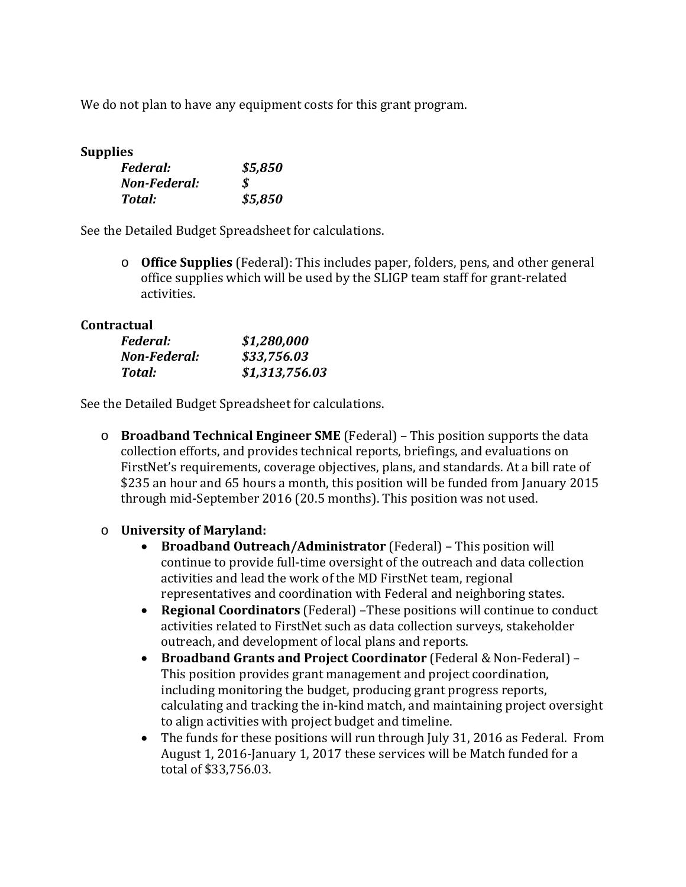We do not plan to have any equipment costs for this grant program.

#### **Supplies**

| Federal:     | \$5,850 |
|--------------|---------|
| Non-Federal: | S.      |
| Total:       | \$5,850 |

See the Detailed Budget Spreadsheet for calculations.

o **Office Supplies** (Federal): This includes paper, folders, pens, and other general office supplies which will be used by the SLIGP team staff for grant-related activities.

#### **Contractual**

| <i>Federal:</i> | \$1,280,000    |
|-----------------|----------------|
| Non-Federal:    | \$33,756.03    |
| Total:          | \$1,313,756.03 |

See the Detailed Budget Spreadsheet for calculations.

o **Broadband Technical Engineer SME** (Federal) – This position supports the data collection efforts, and provides technical reports, briefings, and evaluations on FirstNet's requirements, coverage objectives, plans, and standards. At a bill rate of \$235 an hour and 65 hours a month, this position will be funded from January 2015 through mid-September 2016 (20.5 months). This position was not used.

### o **University of Maryland:**

- **Broadband Outreach/Administrator** (Federal) This position will continue to provide full-time oversight of the outreach and data collection activities and lead the work of the MD FirstNet team, regional representatives and coordination with Federal and neighboring states.
- **Regional Coordinators** (Federal) –These positions will continue to conduct activities related to FirstNet such as data collection surveys, stakeholder outreach, and development of local plans and reports.
- **Broadband Grants and Project Coordinator** (Federal & Non-Federal) This position provides grant management and project coordination, including monitoring the budget, producing grant progress reports, calculating and tracking the in-kind match, and maintaining project oversight to align activities with project budget and timeline.
- The funds for these positions will run through July 31, 2016 as Federal. From August 1, 2016-January 1, 2017 these services will be Match funded for a total of \$33,756.03.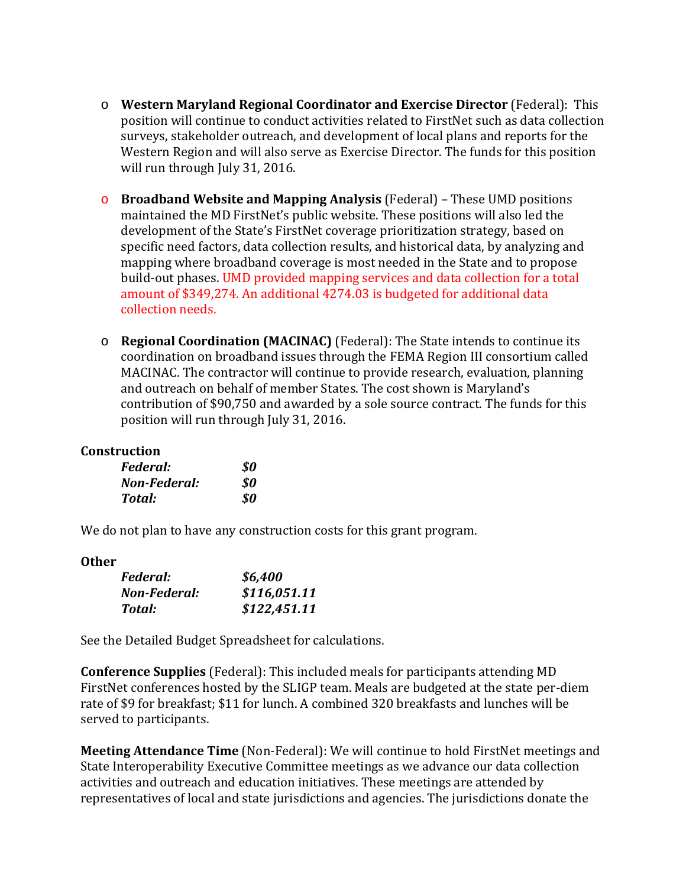- o **Western Maryland Regional Coordinator and Exercise Director** (Federal): This position will continue to conduct activities related to FirstNet such as data collection surveys, stakeholder outreach, and development of local plans and reports for the Western Region and will also serve as Exercise Director. The funds for this position will run through July 31, 2016.
- o **Broadband Website and Mapping Analysis** (Federal) These UMD positions maintained the MD FirstNet's public website. These positions will also led the development of the State's FirstNet coverage prioritization strategy, based on specific need factors, data collection results, and historical data, by analyzing and mapping where broadband coverage is most needed in the State and to propose build-out phases. UMD provided mapping services and data collection for a total amount of \$349,274. An additional 4274.03 is budgeted for additional data collection needs.
- o **Regional Coordination (MACINAC)** (Federal): The State intends to continue its coordination on broadband issues through the FEMA Region III consortium called MACINAC. The contractor will continue to provide research, evaluation, planning and outreach on behalf of member States. The cost shown is Maryland's contribution of \$90,750 and awarded by a sole source contract. The funds for this position will run through July 31, 2016.

#### **Construction**

| Federal:     | \$0 |
|--------------|-----|
| Non-Federal: | SO. |
| Total:       | \$0 |

We do not plan to have any construction costs for this grant program.

#### **Other**

| Federal:     | \$6,400      |
|--------------|--------------|
| Non-Federal: | \$116,051.11 |
| Total:       | \$122,451.11 |

See the Detailed Budget Spreadsheet for calculations.

**Conference Supplies** (Federal): This included meals for participants attending MD FirstNet conferences hosted by the SLIGP team. Meals are budgeted at the state per-diem rate of \$9 for breakfast; \$11 for lunch. A combined 320 breakfasts and lunches will be served to participants.

**Meeting Attendance Time** (Non-Federal): We will continue to hold FirstNet meetings and State Interoperability Executive Committee meetings as we advance our data collection activities and outreach and education initiatives. These meetings are attended by representatives of local and state jurisdictions and agencies. The jurisdictions donate the